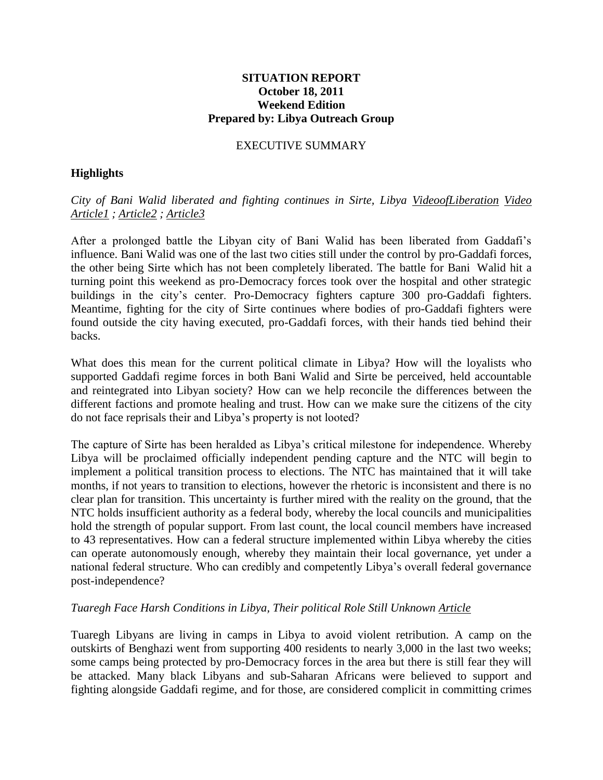## **SITUATION REPORT October 18, 2011 Weekend Edition Prepared by: Libya Outreach Group**

#### EXECUTIVE SUMMARY

## **Highlights**

*City of Bani Walid liberated and fighting continues in Sirte, Libya [VideoofLiberation](http://www.youtube.com/watch?v=jgxBi7lq0jg&feature=share) [Video](http://www.youtube.com/watch?v=oMrHvbf8v1M) [Article1](http://www.google.com/hostednews/ap/article/ALeqM5hxxsybRYMf5srh0vV4J2s89JgYbg?docId=710f2ca2a7974cbdbc7bfebe7774c98a) ; [Article2](http://www.smh.com.au/world/gaddafis-last-fighters-trapped-in-corner-of-sirt-20111013-1ln2h.html) ; [Article3](http://www.latimes.com/news/nationworld/world/middleeast/la-fg-libya-killings-20111017,0,6961741.story)*

After a prolonged battle the Libyan city of Bani Walid has been liberated from Gaddafi's influence. Bani Walid was one of the last two cities still under the control by pro-Gaddafi forces, the other being Sirte which has not been completely liberated. The battle for Bani Walid hit a turning point this weekend as pro-Democracy forces took over the hospital and other strategic buildings in the city's center. Pro-Democracy fighters capture 300 pro-Gaddafi fighters. Meantime, fighting for the city of Sirte continues where bodies of pro-Gaddafi fighters were found outside the city having executed, pro-Gaddafi forces, with their hands tied behind their backs.

What does this mean for the current political climate in Libya? How will the loyalists who supported Gaddafi regime forces in both Bani Walid and Sirte be perceived, held accountable and reintegrated into Libyan society? How can we help reconcile the differences between the different factions and promote healing and trust. How can we make sure the citizens of the city do not face reprisals their and Libya's property is not looted?

The capture of Sirte has been heralded as Libya's critical milestone for independence. Whereby Libya will be proclaimed officially independent pending capture and the NTC will begin to implement a political transition process to elections. The NTC has maintained that it will take months, if not years to transition to elections, however the rhetoric is inconsistent and there is no clear plan for transition. This uncertainty is further mired with the reality on the ground, that the NTC holds insufficient authority as a federal body, whereby the local councils and municipalities hold the strength of popular support. From last count, the local council members have increased to 43 representatives. How can a federal structure implemented within Libya whereby the cities can operate autonomously enough, whereby they maintain their local governance, yet under a national federal structure. Who can credibly and competently Libya's overall federal governance post-independence?

#### *Tuaregh Face Harsh Conditions in Libya, Their political Role Still Unknown [Article](http://www.reuters.com/article/2011/10/17/us-libya-displaced-idUSTRE79G2CY20111017)*

Tuaregh Libyans are living in camps in Libya to avoid violent retribution. A camp on the outskirts of Benghazi went from supporting 400 residents to nearly 3,000 in the last two weeks; some camps being protected by pro-Democracy forces in the area but there is still fear they will be attacked. Many black Libyans and sub-Saharan Africans were believed to support and fighting alongside Gaddafi regime, and for those, are considered complicit in committing crimes